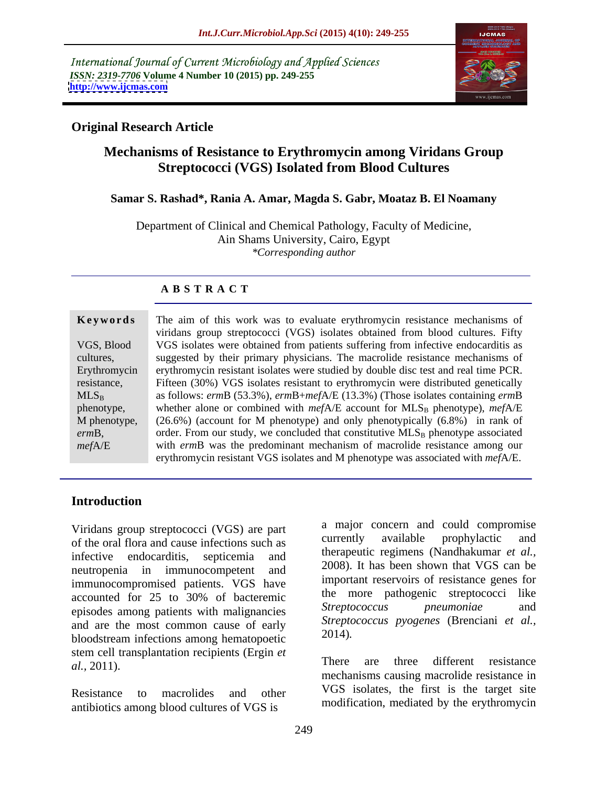International Journal of Current Microbiology and Applied Sciences *ISSN: 2319-7706* **Volume 4 Number 10 (2015) pp. 249-255 <http://www.ijcmas.com>**



### **Original Research Article**

# **Mechanisms of Resistance to Erythromycin among Viridans Group Streptococci (VGS) Isolated from Blood Cultures**

### **Samar S. Rashad\*, Rania A. Amar, Magda S. Gabr, Moataz B. El Noamany**

Department of Clinical and Chemical Pathology, Faculty of Medicine, Ain Shams University, Cairo, Egypt *\*Corresponding author*

### **A B S T R A C T**

# *mef*A/E

**Keywords** The aim of this work was to evaluate erythromycin resistance mechanisms of viridans group streptococci (VGS) isolates obtained from blood cultures. Fifty VGS, Blood VGS isolates were obtained from patients suffering from infective endocarditis as cultures, suggested by their primary physicians. The macrolide resistance mechanisms of Erythromycin erythromycin resistant isolates were studied by double disc test and real time PCR. resistance, Fifteen (30%) VGS isolates resistant to erythromycin were distributed genetically MLS<sub>B</sub> as follows: *erm*B (53.3%), *ermB+mefA/E* (13.3%) (Those isolates containing *ermB* phenotype, whether alone or combined with *mefA/E* account for MLS<sub>B</sub> phenotype), *mefA/E* M phenotype, (26.6%) (account for M phenotype) and only phenotypically (6.8%) in rank of ermB, order. From our study, we concluded that constitutive MLS<sub>B</sub> phenotype associated with *erm*B was the predominant mechanism of macrolide resistance among our erythromycin resistant VGS isolates and M phenotype was associated with *mef*A/E.

### **Introduction**

Viridans group streptococci (VGS) are part a major concern and could compromise<br>of the oral flora and cause infections such as currently available prophylactic and of the oral flora and cause infections such as infective endocarditis, septicemia and  $\frac{\text{merapeuuc} \text{ regimens}}{2000}$ ,  $\frac{1}{2}$  is the state state. neutropenia in immunocompetent and immunocompromised patients. VGS have accounted for 25 to 30% of bacteremic the more pathogenic streptococci like<br> *Streptococcus pheumoniae* and episodes among patients with malignancies and are the most common cause of early bloodstream infections among hematopoetic stem cell transplantation recipients (Ergin *et*<br>
There are three different resistance

antibiotics among blood cultures of VGS is

a major concern and could compromise currently available prophylactic and therapeutic regimens (Nandhakumar *et al.,* 2008). It has been shown that VGS can be important reservoirs of resistance genes for the more pathogenic streptococci like *Streptococcus pneumoniae* and *Streptococcus pyogenes* (Brenciani *et al.,* 2014)*.* 

*al.*, 2011). Resistance to macrolides and other vois isolates, the first is the target site There are three different resistance mechanisms causing macrolide resistance in VGS isolates, the first is the target site modification, mediated by the erythromycin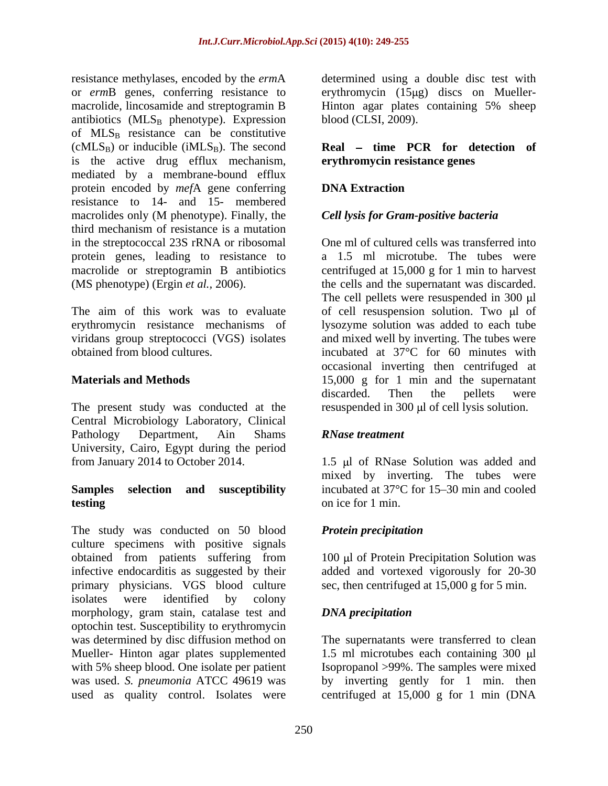resistance methylases, encoded by the *erm*A determined using a double disc test with or *erm*B genes, conferring resistance to erythromycin (15µg) discs on Muellermacrolide, lincosamide and streptogramin B Hinton agar plates containing 5% sheep antibiotics ( $MLS_B$  phenotype). Expression of  $MLS_B$  resistance can be constitutive  $(cMLS_B)$  or inducible (iMLS<sub>B</sub>). The second is the active drug efflux mechanism, mediated by a membrane-bound efflux protein encoded by *mef*A gene conferring resistance to 14- and 15- membered macrolides only (M phenotype). Finally, the **Cell lysis for Gram-positive bacteria** third mechanism of resistance is a mutation in the streptococcal 23S rRNA or ribosomal One ml of cultured cells was transferred into protein genes, leading to resistance to macrolide or streptogramin B antibiotics centrifuged at 15,000 g for 1 min to harvest (MS phenotype) (Ergin *et al.,* 2006). the cells and the supernatant was discarded.

The present study was conducted at the Central Microbiology Laboratory, Clinical Pathology Department, Ain Shams **RNase treatment** University, Cairo, Egypt during the period from January 2014 to October 2014. 1.5 µl of RNase Solution was added and

# **testing** on ice for 1 min.

The study was conducted on 50 blood **Protein precipitation** culture specimens with positive signals obtained from patients suffering from 100 µl of Protein Precipitation Solution was infective endocarditis as suggested by their added and vortexed vigorously for 20-30 primary physicians. VGS blood culture isolates were identified by colony morphology, gram stain, catalase test and **DNA** precipitation optochin test. Susceptibility to erythromycin was determined by disc diffusion method on The supernatants were transferred to clean Mueller- Hinton agar plates supplemented 1.5 ml microtubes each containing 300 µl with 5% sheep blood. One isolate per patient Isopropanol >99%. The samples were mixed was used. *S. pneumonia* ATCC 49619 was by inverting gently for 1 min. then used as quality control. Isolates were centrifuged at 15,000 g for 1 min (DNA

blood (CLSI, 2009).

 $Real - time PCR for detection of$ **erythromycin resistance genes**

# **DNA Extraction**

### *Cell lysis for Gram-positive bacteria*

The aim of this work was to evaluate of cell resuspension solution. Two ul of erythromycin resistance mechanisms of lysozyme solution was added to each tube viridans group streptococci (VGS) isolates and mixed well by inverting. The tubes were obtained from blood cultures. incubated at 37°C for 60 minutes with **Materials and Methods** 15,000 g for 1 min and the supernatant a 1.5 ml microtube. The tubes were The cell pellets were resuspended in  $300 \mu l$ occasional inverting then centrifuged at discarded. Then the pellets were resuspended in 300 µl of cell lysis solution.

### *RNase treatment*

**Samples selection and susceptibility** incubated at 37°C for 15–30 min and cooled mixed by inverting. The tubes were on ice for 1 min.

# *Protein precipitation*

100 µ of Protein Precipitation Solution was sec, then centrifuged at 15,000 g for 5 min.

# *DNA precipitation*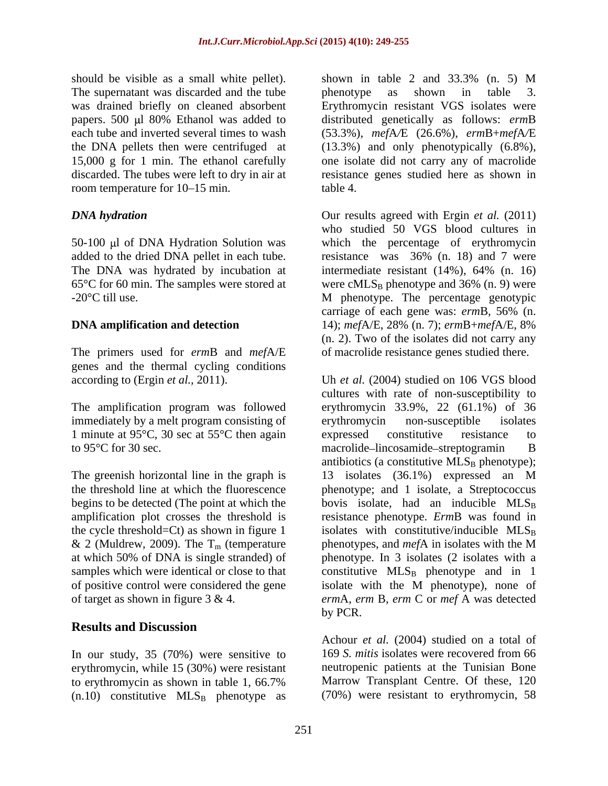should be visible as a small white pellet). Shown in table 2 and 33.3% (n. 5) M The supernatant was discarded and the tube behenotype as shown in table 3. room temperature for 10–15 min. table 4.

 $50-100$  µl of DNA Hydration Solution was The DNA was hydrated by incubation at intermediate resistant (14%), 64% (n. 16)

The primers used for *erm*B and *mef*A/E genes and the thermal cycling conditions according to (Ergin *et al.*, 2011).

immediately by a melt program consisting of erythromycin non-susceptible isolates 1 minute at 95°C, 30 sec at 55°C then again expressed constitutive resistance to to 95°C for 30 sec. The macrolide-line osamide-streptogramin B

The greenish horizontal line in the graph is  $13$  isolates (36.1%) expressed an M & 2 (Muldrew, 2009). The  $T_m$  (temperature phenotypes, and *mef*A in isolates with the M at which 50% of DNA is single stranded) of phenotype. In 3 isolates (2 isolates with a

# **Results and Discussion**

In our study,  $35$  (70%) were sensitive to erythromycin, while 15 (30%) were resistant to erythromycin as shown in table 1, 66.7%  $(n.10)$  constitutive MLS<sub>B</sub> phenotype as

was drained briefly on cleaned absorbent Erythromycin resistant VGS isolates were papers. 500 µl 80% Ethanol was added to distributed genetically as follows: *ermB* each tube and inverted several times to wash (53.3%), *mef*A*/*E (26.6%), *erm*B+*mef*A*/*E the DNA pellets then were centrifuged at (13.3%) and only phenotypically (6.8%), 15,000 g for 1 min. The ethanol carefully one isolate did not carry any of macrolide discarded. The tubes were left to dry in air at resistance genes studied here as shown in shown in table 2 and 33.3% (n. 5) M phenotype as shown in table 3. table 4.

*DNA hydration* Our results agreed with Ergin *et al.* (2011) added to the dried DNA pellet in each tube. resistance was 36% (n. 18) and 7 were 65°C for 60 min. The samples were stored at  $\qquad$  were cMLS<sub>B</sub> phenotype and 36% (n. 9) were  $\qquad$  -20°C till use.  $\qquad$  M phenotype. The percentage genotypic **DNA amplification and detection** 14); *mef*A/E, 28% (n. 7); *erm*B+*mef*A/E, 8% who studied 50 VGS blood cultures in which the percentage of erythromycin intermediate resistant (14%), 64% (n. 16) were  $cMLS_B$  phenotype and 36% (n. 9) were carriage of each gene was: *erm*B, 56% (n. (n. 2). Two of the isolates did not carry any of macrolide resistance genes studied there.

according to (Ergin *et al.,* 2011). Uh *et al.* (2004) studied on 106 VGS blood The amplification program was followed erythromycin 33.9%, 22 (61.1%) of 36 to 95°C for 30 sec. macrolide lincosamide streptogramin B the threshold line at which the fluorescence phenotype; and 1 isolate, a Streptococcus begins to be detected (The point at which the bovis isolate, had an inducible  $MLS_B$ amplification plot crosses the threshold is resistance phenotype. *Erm*B was found in the cycle threshold=Ct) as shown in figure 1 isolates with constitutive/inducible  $MLS_B$ at which 50% of DNA is single stranded) of phenotype. In 3 isolates (2 isolates with a samples which were identical or close to that  $\qquad$  constitutive  $MLS_B$  phenotype and in 1 of positive control were considered the gene isolate with the M phenotype), none of of target as shown in figure 3 & 4. *erm*A, *erm* B, *erm* C or *mef* A was detected cultures with rate of non-susceptibility to erythromycin non-susceptible isolates expressed constitutive resistance to antibiotics (a constitutive  $MLS_B$  phenotype); 13 isolates (36.1%) expressed an M phenotypes, and *mef*A in isolates with the M by PCR.

> Achour *et al.* (2004) studied on a total of 169 *S. mitis* isolates were recovered from 66 neutropenic patients at the Tunisian Bone Marrow Transplant Centre. Of these, 120 (70%) were resistant to erythromycin, 58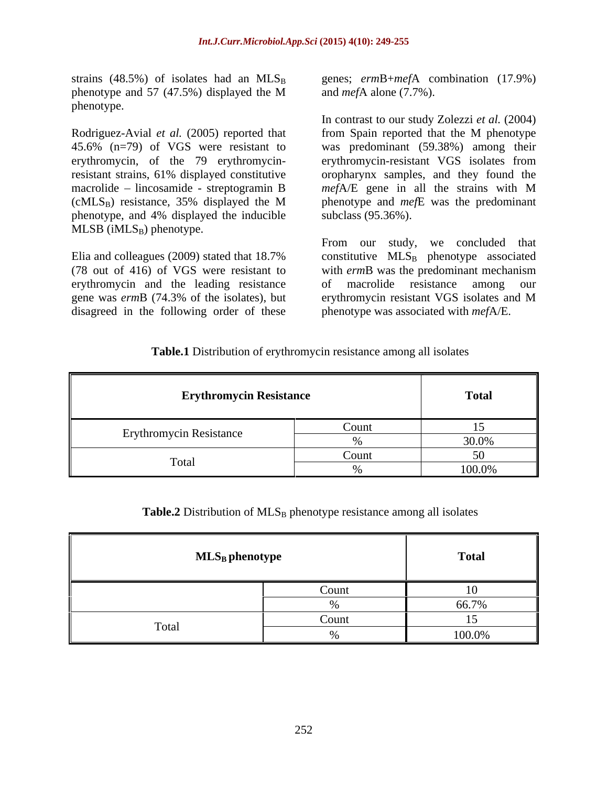phenotype.

Rodriguez-Avial *et al.* (2005) reported that from Spain reported that the M phenotype macrolide – lincosamide - streptogramin B  $mefA/E$  gene in all the strains with M phenotype, and 4% displayed the inducible  $MLSB$  (iMLS<sub>B</sub>) phenotype.

(78 out of 416) of VGS were resistant to erythromycin and the leading resistance of macrolide resistance among our gene was *erm*B (74.3% of the isolates), but disagreed in the following order of these

strains (48.5%) of isolates had an MLS<sub>B</sub> genes; *erm*B+*mef*A combination (17.9%) phenotype and 57 (47.5%) displayed the M and  $mefA$  alone (7.7%). and *mef*A alone (7.7%).

45.6% (n=79) of VGS were resistant to was predominant (59.38%) among their erythromycin, of the 79 erythromycin-erythromycin-resistant VGS isolates from resistant strains, 61% displayed constitutive oropharynx samples, and they found the (cMLS<sub>B</sub>) resistance, 35% displayed the M phenotype and mefE was the predominant In contrast to our study Zolezzi *et al.* (2004) from Spain reported that the M phenotype *mef*A/E gene in all the strains with M phenotype and *mef*E was the predominant subclass (95.36%).

Elia and colleagues (2009) stated that  $18.7\%$  constitutive  $MLS_B$  phenotype associated From our study, we concluded that with *erm*B was the predominant mechanism of macrolide resistance among our erythromycin resistant VGS isolates and M phenotype was associated with *mef*A/E.

### **Table.1** Distribution of erythromycin resistance among all isolates

| <b>Erythromycin Resistance</b> |       | <b>Total</b> |
|--------------------------------|-------|--------------|
|                                | Count |              |
| <b>Erythromycin Resistance</b> |       | 30.0%        |
|                                | Count | $\epsilon$   |
|                                |       | 100.0%       |

### **Table.2** Distribution of MLS<sub>B</sub> phenotype resistance among all isolates

| $MLS_B$ phenotype | <b>Total</b> |
|-------------------|--------------|
|                   |              |
|                   |              |
|                   | 66.7%        |
|                   |              |
| otal              | 100.0%       |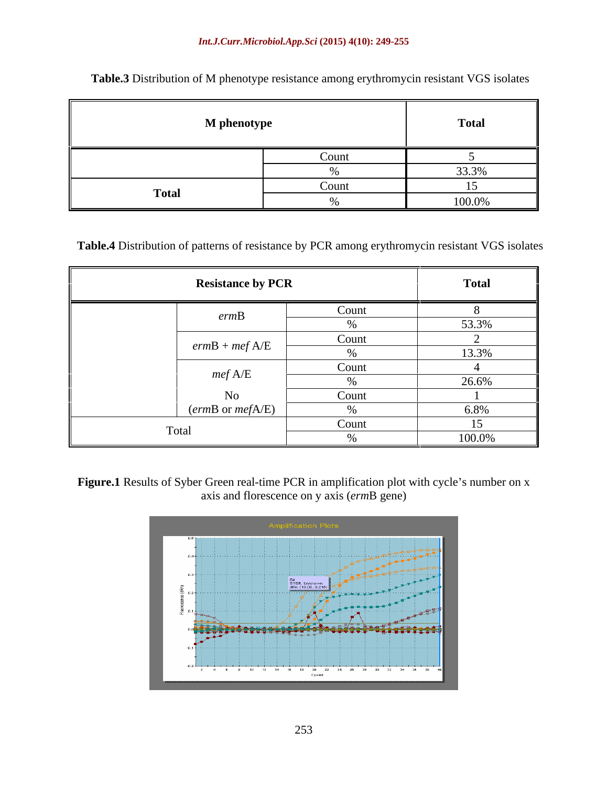| M phenotyp.  |     | <b>Total</b> |
|--------------|-----|--------------|
|              |     |              |
|              | ោហា |              |
|              |     | 22 20%       |
| $T_{\rm{c}}$ |     |              |
| .            |     | 100.0%       |

**Table.3** Distribution of M phenotype resistance among erythromycin resistant VGS isolates

**Table.4** Distribution of patterns of resistance by PCR among erythromycin resistant VGS isolates

| <b>Resistance by PCR</b>    |        | <b>Total</b> |
|-----------------------------|--------|--------------|
| ermB                        | Count) |              |
|                             |        | 53.3%        |
| $ermB + mef A/E$            | Count  | 13.3%        |
|                             | Count  |              |
| $mef$ A/E                   |        | 26.6%        |
| N0                          | Count  |              |
| $(ermB \text{ or } mefA/E)$ |        | $6.8\%$      |
| Total                       | Count  | $\sim$       |
|                             |        | $100.0\%$    |

Figure.1 Results of Syber Green real-time PCR in amplification plot with cycle's number on x axis and florescence on y axis (*erm*B gene)

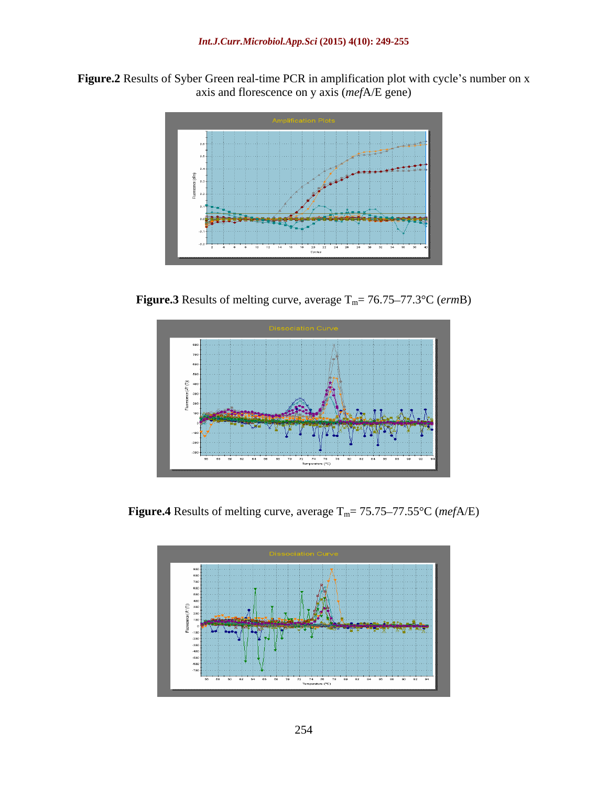Figure.2 Results of Syber Green real-time PCR in amplification plot with cycle's number on x axis and florescence on y axis (*mef*A/E gene)



**Figure.3** Results of melting curve, average  $T_m = 76.75 - 77.3$ °C (*erm*B)



**Figure.4** Results of melting curve, average  $T_m = 75.75 - 77.55$ °C (*mefA*/E)